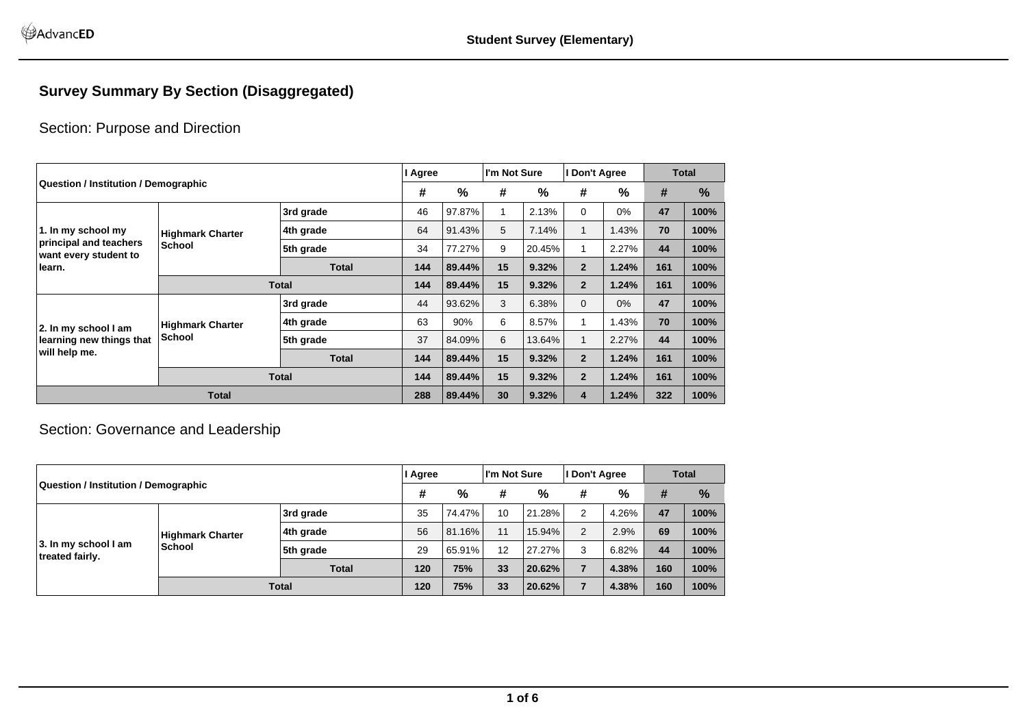## **Survey Summary By Section (Disaggregated)**

## Section: Purpose and Direction

|                                                                                                                                                                                                                                                                                                                                                                                                                                                                                                                                                                                                                                                                                                                                                                                                                              |  |              | l Agree |        | I'm Not Sure |                                                   | l Don't Agree |       | Total                                                                    |      |
|------------------------------------------------------------------------------------------------------------------------------------------------------------------------------------------------------------------------------------------------------------------------------------------------------------------------------------------------------------------------------------------------------------------------------------------------------------------------------------------------------------------------------------------------------------------------------------------------------------------------------------------------------------------------------------------------------------------------------------------------------------------------------------------------------------------------------|--|--------------|---------|--------|--------------|---------------------------------------------------|---------------|-------|--------------------------------------------------------------------------|------|
|                                                                                                                                                                                                                                                                                                                                                                                                                                                                                                                                                                                                                                                                                                                                                                                                                              |  |              | #       | %      | #            | $\frac{0}{0}$                                     | #             | %     | #<br>47<br>70<br>44<br>161<br>161<br>47<br>70<br>44<br>161<br>161<br>322 | %    |
|                                                                                                                                                                                                                                                                                                                                                                                                                                                                                                                                                                                                                                                                                                                                                                                                                              |  | 3rd grade    | 46      | 97.87% |              | 2.13%                                             | $\Omega$      | $0\%$ |                                                                          | 100% |
| Question / Institution / Demographic<br>64<br>5<br>1.43%<br>91.43%<br>7.14%<br>1<br>1. In my school my<br>4th grade<br><b>Highmark Charter</b><br>principal and teachers<br><b>School</b><br>34<br>9<br>5th grade<br>77.27%<br>20.45%<br>1<br>2.27%<br>want every student to<br>15<br>144<br><b>Total</b><br>89.44%<br>9.32%<br>$\overline{2}$<br>1.24%<br>learn.<br>15<br>$\overline{2}$<br><b>Total</b><br>144<br>9.32%<br>1.24%<br>89.44%<br>44<br>3<br>3rd grade<br>93.62%<br>6.38%<br>$\Omega$<br>$0\%$<br>63<br>90%<br>6<br>8.57%<br>1.43%<br>1<br>4th grade<br><b>Highmark Charter</b><br>2. In my school I am<br>School<br>37<br>5th grade<br>84.09%<br>6<br>13.64%<br>$\mathbf{1}$<br>2.27%<br>learning new things that<br>will help me.<br>15<br>$\overline{2}$<br>144<br>89.44%<br>9.32%<br>1.24%<br><b>Total</b> |  | 100%         |         |        |              |                                                   |               |       |                                                                          |      |
|                                                                                                                                                                                                                                                                                                                                                                                                                                                                                                                                                                                                                                                                                                                                                                                                                              |  |              |         |        |              |                                                   |               |       |                                                                          | 100% |
|                                                                                                                                                                                                                                                                                                                                                                                                                                                                                                                                                                                                                                                                                                                                                                                                                              |  |              |         |        |              |                                                   |               |       |                                                                          | 100% |
|                                                                                                                                                                                                                                                                                                                                                                                                                                                                                                                                                                                                                                                                                                                                                                                                                              |  |              |         |        |              |                                                   |               |       |                                                                          | 100% |
|                                                                                                                                                                                                                                                                                                                                                                                                                                                                                                                                                                                                                                                                                                                                                                                                                              |  |              |         |        |              |                                                   |               |       |                                                                          | 100% |
|                                                                                                                                                                                                                                                                                                                                                                                                                                                                                                                                                                                                                                                                                                                                                                                                                              |  |              |         |        |              |                                                   |               |       | 1.24%<br>1.24%                                                           | 100% |
|                                                                                                                                                                                                                                                                                                                                                                                                                                                                                                                                                                                                                                                                                                                                                                                                                              |  |              |         |        |              | 15<br>9.32%<br>$\overline{2}$<br>30<br>9.32%<br>4 |               | 100%  |                                                                          |      |
|                                                                                                                                                                                                                                                                                                                                                                                                                                                                                                                                                                                                                                                                                                                                                                                                                              |  |              |         |        |              |                                                   |               |       |                                                                          | 100% |
|                                                                                                                                                                                                                                                                                                                                                                                                                                                                                                                                                                                                                                                                                                                                                                                                                              |  | <b>Total</b> | 144     | 89.44% |              |                                                   |               |       |                                                                          | 100% |
| <b>Total</b>                                                                                                                                                                                                                                                                                                                                                                                                                                                                                                                                                                                                                                                                                                                                                                                                                 |  | 288          | 89.44%  |        |              |                                                   |               |       | 100%                                                                     |      |

## Section: Governance and Leadership

|                                         |                                          | I Agree      |     | I'm Not Sure |    | I Don't Agree |                | <b>Total</b> |                            |               |
|-----------------------------------------|------------------------------------------|--------------|-----|--------------|----|---------------|----------------|--------------|----------------------------|---------------|
| Question / Institution / Demographic    |                                          |              | #   | %            | #  | %             | #              | %            | #<br>47<br>69<br>44<br>160 | $\frac{9}{6}$ |
|                                         |                                          | 3rd grade    | 35  | 74.47%       | 10 | 21.28%        | 2              | 4.26%        |                            | 100%          |
|                                         | <b>Highmark Charter</b><br><b>School</b> | ∣4th grade   | 56  | 81.16%       | 11 | 15.94%        | $\overline{2}$ | 2.9%         |                            | 100%          |
| 3. In my school I am<br>treated fairly. |                                          | 5th grade    | 29  | 65.91%       | 12 | 27.27%        | 3              | 6.82%        |                            | 100%          |
|                                         |                                          | <b>Total</b> | 120 | 75%          | 33 | 20.62%        |                | 4.38%        |                            | 100%          |
|                                         |                                          | <b>Total</b> | 120 | 75%          | 33 | 20.62%        |                | 4.38%        | 160                        | 100%          |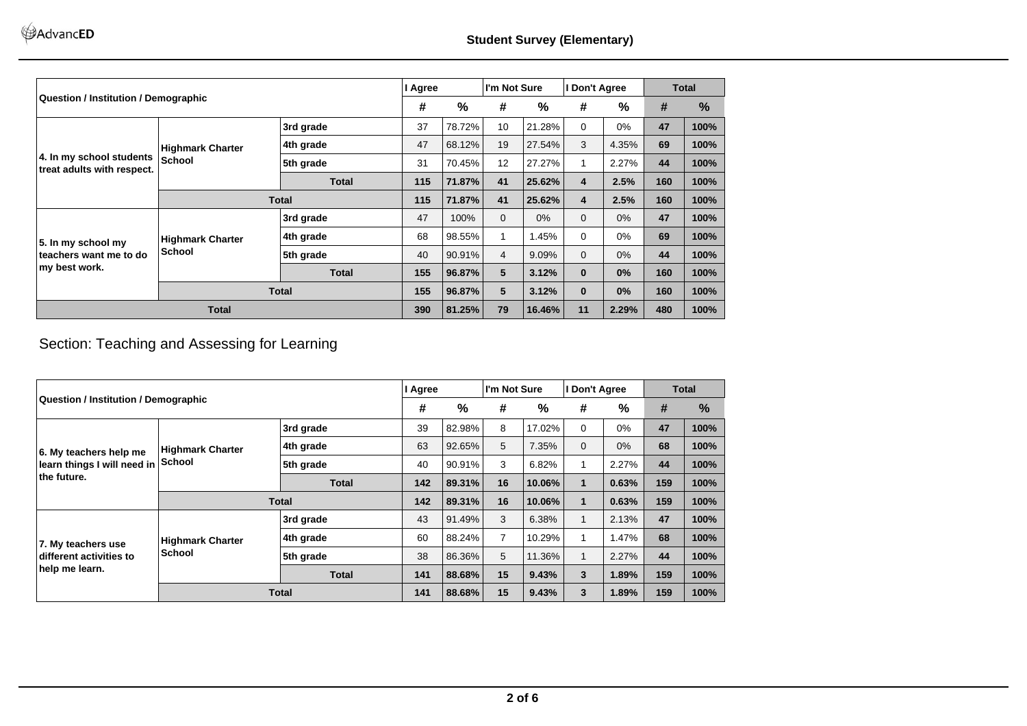|                                                        |                         |              | I Agree |        | I'm Not Sure   |        | I Don't Agree                                                                                                                                |       | <b>Total</b>                                                  |      |
|--------------------------------------------------------|-------------------------|--------------|---------|--------|----------------|--------|----------------------------------------------------------------------------------------------------------------------------------------------|-------|---------------------------------------------------------------|------|
| <b>Question / Institution / Demographic</b>            |                         |              |         | %      | #              | %      | #                                                                                                                                            | %     | #                                                             | %    |
|                                                        |                         | 3rd grade    | 37      | 78.72% | 10             | 21.28% | $\Omega$                                                                                                                                     | 0%    | 47                                                            | 100% |
|                                                        | <b>Highmark Charter</b> | 4th grade    | 47      | 68.12% | 19             | 27.54% | 3                                                                                                                                            | 4.35% | 69<br>44<br>160<br>160<br>47<br>69<br>44<br>160<br>160<br>480 | 100% |
| 4. In my school students<br>treat adults with respect. | <b>School</b>           | 5th grade    | 31      | 70.45% | 12             | 27.27% | 1                                                                                                                                            | 2.27% |                                                               | 100% |
|                                                        |                         | <b>Total</b> | 115     | 71.87% | 41             | 25.62% | 2.5%<br>$\overline{4}$<br>2.5%<br>4<br>$0\%$<br>$\Omega$<br>$0\%$<br>$\Omega$<br>0%<br>$\Omega$<br>$0\%$<br>$\bf{0}$<br>0%<br>$\bf{0}$<br>0% | 100%  |                                                               |      |
|                                                        | <b>Total</b>            |              | 115     | 71.87% | 41             | 25.62% |                                                                                                                                              |       |                                                               | 100% |
|                                                        |                         | 3rd grade    | 47      | 100%   | $\Omega$       |        |                                                                                                                                              |       |                                                               | 100% |
| 5. In my school my                                     | <b>Highmark Charter</b> | 4th grade    | 68      | 98.55% |                | 1.45%  |                                                                                                                                              |       |                                                               | 100% |
| teachers want me to do                                 | <b>School</b>           | 5th grade    | 40      | 90.91% | $\overline{4}$ | 9.09%  |                                                                                                                                              |       |                                                               | 100% |
| my best work.                                          |                         | <b>Total</b> | 155     | 96.87% | 5              | 3.12%  |                                                                                                                                              |       |                                                               | 100% |
|                                                        |                         | <b>Total</b> | 155     | 96.87% | 5              | 3.12%  |                                                                                                                                              |       |                                                               | 100% |
| <b>Total</b>                                           |                         | 390          | 81.25%  | 79     | 16.46%         | 11     | 2.29%                                                                                                                                        |       | 100%                                                          |      |

## Section: Teaching and Assessing for Learning

|                                             |                         |              | I Agree |        | I'm Not Sure   |              | I Don't Agree |                |                                                                   | <b>Total</b> |
|---------------------------------------------|-------------------------|--------------|---------|--------|----------------|--------------|---------------|----------------|-------------------------------------------------------------------|--------------|
| <b>Question / Institution / Demographic</b> |                         |              | #       | %      | #              | %            | #             | %              | #<br>47<br>68<br>44<br>159<br>159<br>47<br>68<br>44<br>159<br>159 | %            |
|                                             |                         | 3rd grade    | 39      | 82.98% | 8              | 17.02%       | $\Omega$      | $0\%$          |                                                                   | 100%         |
| 6. My teachers help me                      | <b>Highmark Charter</b> | 4th grade    | 63      | 92.65% | 5              | 7.35%        | $\Omega$      | 0%             |                                                                   | 100%         |
| learn things I will need in                 | School                  | 5th grade    | 40      | 90.91% | 3              | 6.82%        |               | 2.27%          |                                                                   | 100%         |
| the future.                                 | <b>Total</b>            | 142          | 89.31%  | 16     | 10.06%         | $\mathbf{1}$ | 0.63%         |                | 100%                                                              |              |
|                                             | <b>Total</b>            |              | 142     | 89.31% | 16             | 10.06%       | $\mathbf{1}$  | 0.63%          |                                                                   | 100%         |
|                                             |                         | 3rd grade    | 43      | 91.49% | 3              | 6.38%        |               | 2.13%          |                                                                   | 100%         |
| 7. My teachers use                          | <b>Highmark Charter</b> | 4th grade    | 60      | 88.24% | $\overline{7}$ | 10.29%       |               | 1.47%          |                                                                   | 100%         |
| different activities to                     | <b>School</b>           | 5th grade    | 38      | 86.36% | 5              | 11.36%       |               | 2.27%          |                                                                   | 100%         |
| help me learn.                              |                         | <b>Total</b> | 141     | 88.68% | 15             | 9.43%        | 3             | 1.89%<br>1.89% | 100%                                                              |              |
|                                             |                         | <b>Total</b> | 141     | 88.68% | 15             | 9.43%        | 3             |                |                                                                   | 100%         |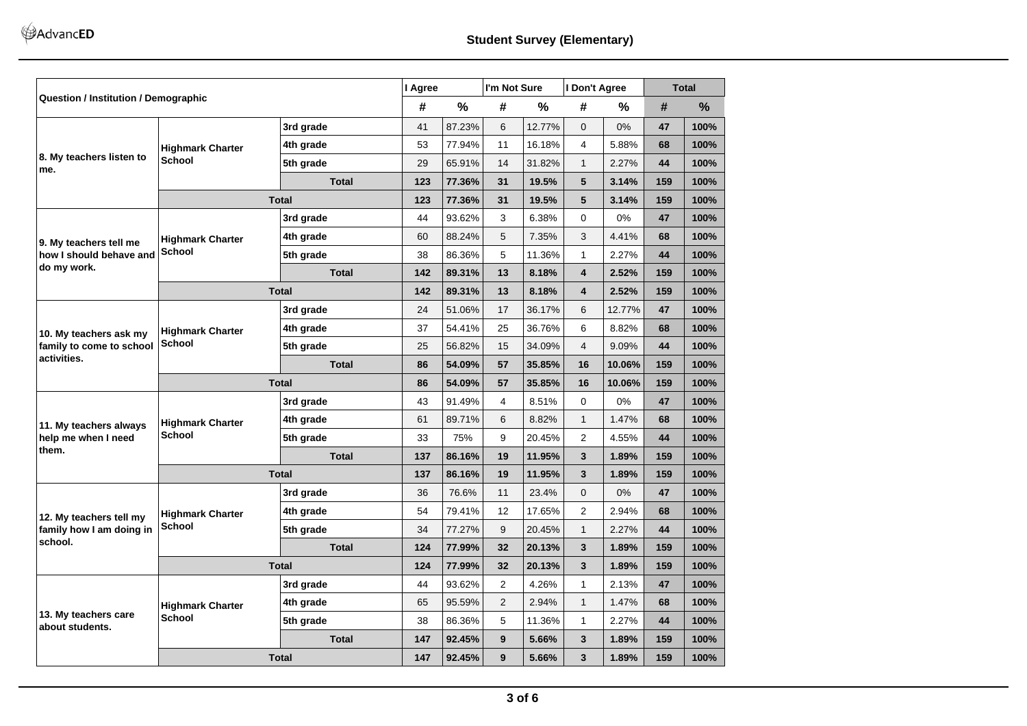|                                                                                                                                                                                                                                                                                                                                                                                                                                                                                                                                                                                                                                                                                                                                                                                                                                                                                                                                                                                                                                                                                                                                                                                                                                                                                                                                                                                                                                                                                                                                                                                                                                                                                                                                                                                                                                                                                                                                                                                                                                          |                         |              | #   | $\frac{0}{0}$ | #              | %      | #                      | %                                                                                                                                                                                       | #    | %    |
|------------------------------------------------------------------------------------------------------------------------------------------------------------------------------------------------------------------------------------------------------------------------------------------------------------------------------------------------------------------------------------------------------------------------------------------------------------------------------------------------------------------------------------------------------------------------------------------------------------------------------------------------------------------------------------------------------------------------------------------------------------------------------------------------------------------------------------------------------------------------------------------------------------------------------------------------------------------------------------------------------------------------------------------------------------------------------------------------------------------------------------------------------------------------------------------------------------------------------------------------------------------------------------------------------------------------------------------------------------------------------------------------------------------------------------------------------------------------------------------------------------------------------------------------------------------------------------------------------------------------------------------------------------------------------------------------------------------------------------------------------------------------------------------------------------------------------------------------------------------------------------------------------------------------------------------------------------------------------------------------------------------------------------------|-------------------------|--------------|-----|---------------|----------------|--------|------------------------|-----------------------------------------------------------------------------------------------------------------------------------------------------------------------------------------|------|------|
|                                                                                                                                                                                                                                                                                                                                                                                                                                                                                                                                                                                                                                                                                                                                                                                                                                                                                                                                                                                                                                                                                                                                                                                                                                                                                                                                                                                                                                                                                                                                                                                                                                                                                                                                                                                                                                                                                                                                                                                                                                          |                         | 3rd grade    | 41  | 87.23%        | 6              | 12.77% | $\Omega$               | 0%                                                                                                                                                                                      | 47   | 100% |
| I Don't Agree<br>I Agree<br>I'm Not Sure<br>Question / Institution / Demographic<br>53<br>77.94%<br>11<br>16.18%<br>$\overline{4}$<br>5.88%<br>4th grade<br><b>Highmark Charter</b><br>8. My teachers listen to<br><b>School</b><br>$\mathbf{1}$<br>29<br>65.91%<br>14<br>31.82%<br>2.27%<br>5th grade<br><b>Total</b><br>5<br>123<br>77.36%<br>31<br>19.5%<br>3.14%<br>5<br><b>Total</b><br>123<br>77.36%<br>31<br>19.5%<br>3.14%<br>3rd grade<br>44<br>93.62%<br>3<br>6.38%<br>$\Omega$<br>0%<br>88.24%<br>5<br>7.35%<br>3<br>4.41%<br>4th grade<br>60<br><b>Highmark Charter</b><br>School<br>5<br>38<br>86.36%<br>11.36%<br>$\mathbf{1}$<br>2.27%<br>5th grade<br>$\overline{\mathbf{4}}$<br><b>Total</b><br>142<br>89.31%<br>13<br>8.18%<br>2.52%<br><b>Total</b><br>142<br>89.31%<br>13<br>8.18%<br>$\overline{\mathbf{4}}$<br>2.52%<br>3rd grade<br>24<br>51.06%<br>17<br>36.17%<br>6<br>12.77%<br>37<br>54.41%<br>25<br>36.76%<br>6<br>8.82%<br>4th grade<br><b>Highmark Charter</b><br>School<br>$\overline{4}$<br>5th grade<br>25<br>56.82%<br>34.09%<br>9.09%<br>15<br><b>Total</b><br>54.09%<br>10.06%<br>86<br>57<br>35.85%<br>16<br><b>Total</b><br>86<br>54.09%<br>57<br>35.85%<br>10.06%<br>16<br>3rd grade<br>43<br>91.49%<br>4<br>8.51%<br>$\Omega$<br>0%<br>61<br>89.71%<br>6<br>8.82%<br>$\mathbf{1}$<br>1.47%<br>4th grade<br><b>Highmark Charter</b><br><b>School</b><br>9<br>2<br>5th grade<br>33<br>75%<br>20.45%<br>4.55%<br><b>Total</b><br>137<br>86.16%<br>19<br>11.95%<br>3<br>1.89%<br>3<br>1.89%<br><b>Total</b><br>137<br>86.16%<br>19<br>11.95%<br>36<br>76.6%<br>23.4%<br>$\Omega$<br>0%<br>3rd grade<br>11<br>54<br>79.41%<br>12<br>17.65%<br>2<br>2.94%<br>4th grade<br><b>Highmark Charter</b><br><b>School</b><br>$\mathbf{1}$<br>5th grade<br>34<br>77.27%<br>9<br>20.45%<br>2.27%<br><b>Total</b><br>124<br>77.99%<br>32<br>20.13%<br>3<br>1.89%<br>3<br>1.89%<br><b>Total</b><br>124<br>77.99%<br>32<br>20.13%<br>$\overline{2}$<br>$\mathbf{1}$<br>3rd grade<br>44<br>93.62%<br>4.26%<br>2.13% | 68                      | 100%         |     |               |                |        |                        |                                                                                                                                                                                         |      |      |
| me.                                                                                                                                                                                                                                                                                                                                                                                                                                                                                                                                                                                                                                                                                                                                                                                                                                                                                                                                                                                                                                                                                                                                                                                                                                                                                                                                                                                                                                                                                                                                                                                                                                                                                                                                                                                                                                                                                                                                                                                                                                      |                         |              |     |               |                |        |                        |                                                                                                                                                                                         | 44   | 100% |
|                                                                                                                                                                                                                                                                                                                                                                                                                                                                                                                                                                                                                                                                                                                                                                                                                                                                                                                                                                                                                                                                                                                                                                                                                                                                                                                                                                                                                                                                                                                                                                                                                                                                                                                                                                                                                                                                                                                                                                                                                                          |                         |              |     |               |                |        |                        |                                                                                                                                                                                         | 159  | 100% |
|                                                                                                                                                                                                                                                                                                                                                                                                                                                                                                                                                                                                                                                                                                                                                                                                                                                                                                                                                                                                                                                                                                                                                                                                                                                                                                                                                                                                                                                                                                                                                                                                                                                                                                                                                                                                                                                                                                                                                                                                                                          |                         |              |     |               |                |        |                        |                                                                                                                                                                                         | 159  | 100% |
|                                                                                                                                                                                                                                                                                                                                                                                                                                                                                                                                                                                                                                                                                                                                                                                                                                                                                                                                                                                                                                                                                                                                                                                                                                                                                                                                                                                                                                                                                                                                                                                                                                                                                                                                                                                                                                                                                                                                                                                                                                          |                         |              |     |               |                |        |                        |                                                                                                                                                                                         | 47   | 100% |
|                                                                                                                                                                                                                                                                                                                                                                                                                                                                                                                                                                                                                                                                                                                                                                                                                                                                                                                                                                                                                                                                                                                                                                                                                                                                                                                                                                                                                                                                                                                                                                                                                                                                                                                                                                                                                                                                                                                                                                                                                                          |                         |              |     |               |                |        |                        |                                                                                                                                                                                         | 68   | 100% |
| how I should behave and                                                                                                                                                                                                                                                                                                                                                                                                                                                                                                                                                                                                                                                                                                                                                                                                                                                                                                                                                                                                                                                                                                                                                                                                                                                                                                                                                                                                                                                                                                                                                                                                                                                                                                                                                                                                                                                                                                                                                                                                                  |                         |              |     |               |                |        |                        |                                                                                                                                                                                         | 44   | 100% |
|                                                                                                                                                                                                                                                                                                                                                                                                                                                                                                                                                                                                                                                                                                                                                                                                                                                                                                                                                                                                                                                                                                                                                                                                                                                                                                                                                                                                                                                                                                                                                                                                                                                                                                                                                                                                                                                                                                                                                                                                                                          |                         |              |     |               |                |        |                        |                                                                                                                                                                                         | 159  | 100% |
|                                                                                                                                                                                                                                                                                                                                                                                                                                                                                                                                                                                                                                                                                                                                                                                                                                                                                                                                                                                                                                                                                                                                                                                                                                                                                                                                                                                                                                                                                                                                                                                                                                                                                                                                                                                                                                                                                                                                                                                                                                          |                         |              |     |               |                |        |                        | <b>Total</b><br>159<br>47<br>68<br>44<br>159<br>159<br>47<br>68<br>44<br>159<br>159<br>47<br>68<br>44<br>159<br>159<br>47<br>1.47%<br>68<br>2.27%<br>44<br>1.89%<br>159<br>1.89%<br>159 | 100% |      |
|                                                                                                                                                                                                                                                                                                                                                                                                                                                                                                                                                                                                                                                                                                                                                                                                                                                                                                                                                                                                                                                                                                                                                                                                                                                                                                                                                                                                                                                                                                                                                                                                                                                                                                                                                                                                                                                                                                                                                                                                                                          |                         |              |     |               |                |        |                        |                                                                                                                                                                                         |      | 100% |
|                                                                                                                                                                                                                                                                                                                                                                                                                                                                                                                                                                                                                                                                                                                                                                                                                                                                                                                                                                                                                                                                                                                                                                                                                                                                                                                                                                                                                                                                                                                                                                                                                                                                                                                                                                                                                                                                                                                                                                                                                                          |                         |              |     |               |                |        |                        |                                                                                                                                                                                         |      | 100% |
| 9. My teachers tell me<br>do my work.<br>10. My teachers ask my<br>family to come to school<br>activities.<br>11. My teachers always<br>help me when I need<br>them.<br>12. My teachers tell my<br>school.                                                                                                                                                                                                                                                                                                                                                                                                                                                                                                                                                                                                                                                                                                                                                                                                                                                                                                                                                                                                                                                                                                                                                                                                                                                                                                                                                                                                                                                                                                                                                                                                                                                                                                                                                                                                                               |                         |              |     |               |                |        |                        |                                                                                                                                                                                         |      | 100% |
|                                                                                                                                                                                                                                                                                                                                                                                                                                                                                                                                                                                                                                                                                                                                                                                                                                                                                                                                                                                                                                                                                                                                                                                                                                                                                                                                                                                                                                                                                                                                                                                                                                                                                                                                                                                                                                                                                                                                                                                                                                          |                         |              |     |               |                |        |                        |                                                                                                                                                                                         |      | 100% |
|                                                                                                                                                                                                                                                                                                                                                                                                                                                                                                                                                                                                                                                                                                                                                                                                                                                                                                                                                                                                                                                                                                                                                                                                                                                                                                                                                                                                                                                                                                                                                                                                                                                                                                                                                                                                                                                                                                                                                                                                                                          |                         |              |     |               |                |        |                        |                                                                                                                                                                                         |      | 100% |
|                                                                                                                                                                                                                                                                                                                                                                                                                                                                                                                                                                                                                                                                                                                                                                                                                                                                                                                                                                                                                                                                                                                                                                                                                                                                                                                                                                                                                                                                                                                                                                                                                                                                                                                                                                                                                                                                                                                                                                                                                                          |                         |              |     |               |                |        |                        |                                                                                                                                                                                         |      | 100% |
|                                                                                                                                                                                                                                                                                                                                                                                                                                                                                                                                                                                                                                                                                                                                                                                                                                                                                                                                                                                                                                                                                                                                                                                                                                                                                                                                                                                                                                                                                                                                                                                                                                                                                                                                                                                                                                                                                                                                                                                                                                          |                         |              |     |               |                |        |                        |                                                                                                                                                                                         |      | 100% |
|                                                                                                                                                                                                                                                                                                                                                                                                                                                                                                                                                                                                                                                                                                                                                                                                                                                                                                                                                                                                                                                                                                                                                                                                                                                                                                                                                                                                                                                                                                                                                                                                                                                                                                                                                                                                                                                                                                                                                                                                                                          |                         |              |     |               |                |        |                        |                                                                                                                                                                                         |      | 100% |
|                                                                                                                                                                                                                                                                                                                                                                                                                                                                                                                                                                                                                                                                                                                                                                                                                                                                                                                                                                                                                                                                                                                                                                                                                                                                                                                                                                                                                                                                                                                                                                                                                                                                                                                                                                                                                                                                                                                                                                                                                                          |                         |              |     |               |                |        |                        |                                                                                                                                                                                         |      | 100% |
|                                                                                                                                                                                                                                                                                                                                                                                                                                                                                                                                                                                                                                                                                                                                                                                                                                                                                                                                                                                                                                                                                                                                                                                                                                                                                                                                                                                                                                                                                                                                                                                                                                                                                                                                                                                                                                                                                                                                                                                                                                          |                         |              |     |               |                |        |                        |                                                                                                                                                                                         |      | 100% |
|                                                                                                                                                                                                                                                                                                                                                                                                                                                                                                                                                                                                                                                                                                                                                                                                                                                                                                                                                                                                                                                                                                                                                                                                                                                                                                                                                                                                                                                                                                                                                                                                                                                                                                                                                                                                                                                                                                                                                                                                                                          |                         |              |     |               |                |        |                        |                                                                                                                                                                                         |      | 100% |
|                                                                                                                                                                                                                                                                                                                                                                                                                                                                                                                                                                                                                                                                                                                                                                                                                                                                                                                                                                                                                                                                                                                                                                                                                                                                                                                                                                                                                                                                                                                                                                                                                                                                                                                                                                                                                                                                                                                                                                                                                                          |                         |              |     |               |                |        |                        |                                                                                                                                                                                         |      | 100% |
| family how I am doing in                                                                                                                                                                                                                                                                                                                                                                                                                                                                                                                                                                                                                                                                                                                                                                                                                                                                                                                                                                                                                                                                                                                                                                                                                                                                                                                                                                                                                                                                                                                                                                                                                                                                                                                                                                                                                                                                                                                                                                                                                 |                         |              |     |               |                |        |                        |                                                                                                                                                                                         |      | 100% |
|                                                                                                                                                                                                                                                                                                                                                                                                                                                                                                                                                                                                                                                                                                                                                                                                                                                                                                                                                                                                                                                                                                                                                                                                                                                                                                                                                                                                                                                                                                                                                                                                                                                                                                                                                                                                                                                                                                                                                                                                                                          |                         |              |     |               |                |        |                        |                                                                                                                                                                                         |      | 100% |
|                                                                                                                                                                                                                                                                                                                                                                                                                                                                                                                                                                                                                                                                                                                                                                                                                                                                                                                                                                                                                                                                                                                                                                                                                                                                                                                                                                                                                                                                                                                                                                                                                                                                                                                                                                                                                                                                                                                                                                                                                                          |                         |              |     |               |                |        |                        |                                                                                                                                                                                         |      | 100% |
|                                                                                                                                                                                                                                                                                                                                                                                                                                                                                                                                                                                                                                                                                                                                                                                                                                                                                                                                                                                                                                                                                                                                                                                                                                                                                                                                                                                                                                                                                                                                                                                                                                                                                                                                                                                                                                                                                                                                                                                                                                          |                         |              |     |               |                |        |                        |                                                                                                                                                                                         |      | 100% |
|                                                                                                                                                                                                                                                                                                                                                                                                                                                                                                                                                                                                                                                                                                                                                                                                                                                                                                                                                                                                                                                                                                                                                                                                                                                                                                                                                                                                                                                                                                                                                                                                                                                                                                                                                                                                                                                                                                                                                                                                                                          | <b>Highmark Charter</b> | 4th grade    | 65  | 95.59%        | $\overline{2}$ | 2.94%  | $\mathbf{1}$           |                                                                                                                                                                                         |      | 100% |
| 13. My teachers care<br>about students.                                                                                                                                                                                                                                                                                                                                                                                                                                                                                                                                                                                                                                                                                                                                                                                                                                                                                                                                                                                                                                                                                                                                                                                                                                                                                                                                                                                                                                                                                                                                                                                                                                                                                                                                                                                                                                                                                                                                                                                                  | <b>School</b>           | 5th grade    | 38  | 86.36%        | 5              | 11.36% | $\mathbf{1}$<br>3<br>3 |                                                                                                                                                                                         | 100% |      |
|                                                                                                                                                                                                                                                                                                                                                                                                                                                                                                                                                                                                                                                                                                                                                                                                                                                                                                                                                                                                                                                                                                                                                                                                                                                                                                                                                                                                                                                                                                                                                                                                                                                                                                                                                                                                                                                                                                                                                                                                                                          |                         | <b>Total</b> | 147 | 92.45%        | 9              | 5.66%  |                        |                                                                                                                                                                                         |      | 100% |
|                                                                                                                                                                                                                                                                                                                                                                                                                                                                                                                                                                                                                                                                                                                                                                                                                                                                                                                                                                                                                                                                                                                                                                                                                                                                                                                                                                                                                                                                                                                                                                                                                                                                                                                                                                                                                                                                                                                                                                                                                                          |                         | <b>Total</b> | 147 | 92.45%        | 9              | 5.66%  |                        |                                                                                                                                                                                         |      | 100% |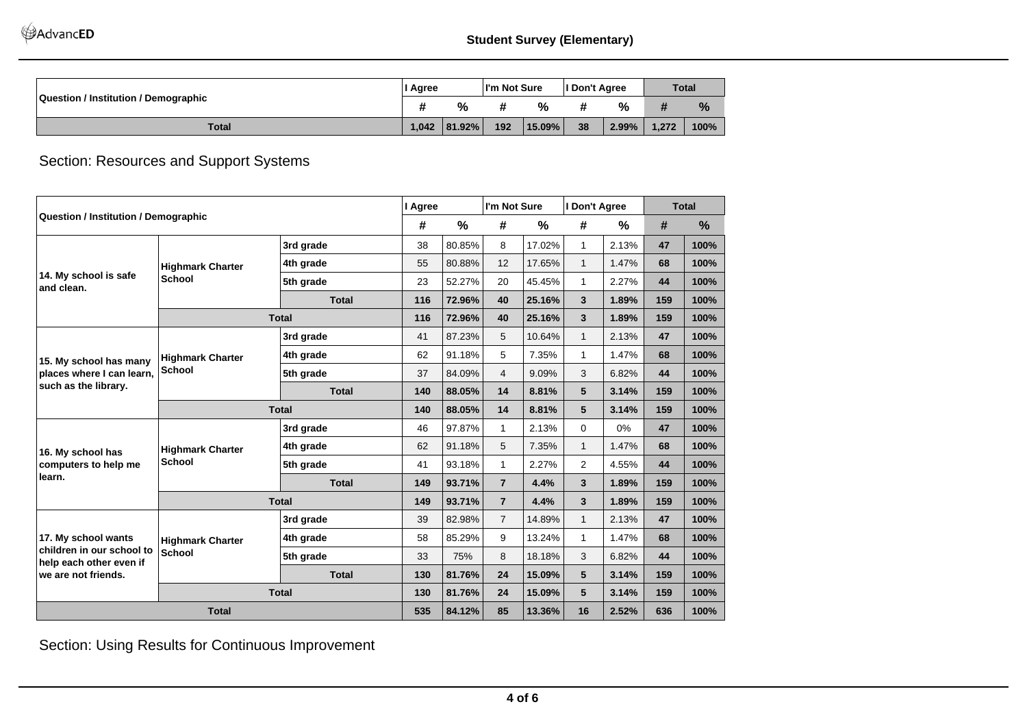AdvancED

|                                             | l Agree |             | I'm Not Sure |        | I Don't Agree |       | <b>Total</b> |      |
|---------------------------------------------|---------|-------------|--------------|--------|---------------|-------|--------------|------|
| <b>Question / Institution / Demographic</b> |         | %           |              | %      |               | %     |              | %    |
| <b>Total</b>                                |         | $ 81.92\% $ | 192          | 15.09% | 38            | 2.99% | 1.272        | 100% |

Section: Resources and Support Systems

|                                                                             |                         |                                                                                                                                                                                                                                                                                                                                                                                                                                                                                                                                                                                                                                                                                                                                                                                                                                                                                                                                                          | I Agree |               | I'm Not Sure |        | I Don't Agree |       |                                                                                                            | <b>Total</b>  |
|-----------------------------------------------------------------------------|-------------------------|----------------------------------------------------------------------------------------------------------------------------------------------------------------------------------------------------------------------------------------------------------------------------------------------------------------------------------------------------------------------------------------------------------------------------------------------------------------------------------------------------------------------------------------------------------------------------------------------------------------------------------------------------------------------------------------------------------------------------------------------------------------------------------------------------------------------------------------------------------------------------------------------------------------------------------------------------------|---------|---------------|--------------|--------|---------------|-------|------------------------------------------------------------------------------------------------------------|---------------|
| <b>Question / Institution / Demographic</b>                                 |                         |                                                                                                                                                                                                                                                                                                                                                                                                                                                                                                                                                                                                                                                                                                                                                                                                                                                                                                                                                          | #       | $\frac{0}{0}$ | #            | %      | #             | %     | #                                                                                                          | $\frac{0}{0}$ |
|                                                                             |                         | 3rd grade                                                                                                                                                                                                                                                                                                                                                                                                                                                                                                                                                                                                                                                                                                                                                                                                                                                                                                                                                | 38      | 80.85%        | 8            | 17.02% | $\mathbf{1}$  | 2.13% | 47                                                                                                         | 100%          |
|                                                                             | <b>Highmark Charter</b> | 4th grade                                                                                                                                                                                                                                                                                                                                                                                                                                                                                                                                                                                                                                                                                                                                                                                                                                                                                                                                                | 55      | 80.88%        | 12           | 17.65% | $\mathbf{1}$  | 1.47% | 68                                                                                                         | 100%          |
| 14. My school is safe<br>and clean.                                         | <b>School</b>           | 5th grade                                                                                                                                                                                                                                                                                                                                                                                                                                                                                                                                                                                                                                                                                                                                                                                                                                                                                                                                                | 23      | 52.27%        | 20           | 45.45% | $\mathbf{1}$  | 2.27% | 44                                                                                                         | 100%          |
|                                                                             |                         | <b>Total</b>                                                                                                                                                                                                                                                                                                                                                                                                                                                                                                                                                                                                                                                                                                                                                                                                                                                                                                                                             | 116     | 72.96%        | 40           | 25.16% | 3             | 1.89% | 159                                                                                                        | 100%          |
|                                                                             |                         |                                                                                                                                                                                                                                                                                                                                                                                                                                                                                                                                                                                                                                                                                                                                                                                                                                                                                                                                                          | 116     | 72.96%        | 40           | 25.16% | 3             | 1.89% | 159<br>47<br>68<br>44<br>159<br>159<br>47<br>68<br>44<br>159<br>159<br>47<br>68<br>44<br>159<br>159<br>636 | 100%          |
|                                                                             |                         | 3rd grade                                                                                                                                                                                                                                                                                                                                                                                                                                                                                                                                                                                                                                                                                                                                                                                                                                                                                                                                                | 41      | 87.23%        | 5            | 10.64% | $\mathbf{1}$  | 2.13% |                                                                                                            | 100%          |
| 15. My school has many                                                      | <b>Highmark Charter</b> | 4th grade                                                                                                                                                                                                                                                                                                                                                                                                                                                                                                                                                                                                                                                                                                                                                                                                                                                                                                                                                | 62      | 91.18%        | 5            | 7.35%  | $\mathbf{1}$  | 1.47% |                                                                                                            | 100%          |
| places where I can learn.                                                   | <b>School</b>           | <b>Total</b><br>84.09%<br>3<br>5th grade<br>37<br>4<br>9.09%<br>6.82%<br><b>Total</b><br>88.05%<br>8.81%<br>5<br>3.14%<br>140<br>14<br>88.05%<br><b>Total</b><br>140<br>14<br>8.81%<br>5<br>3.14%<br>97.87%<br>46<br>2.13%<br>0%<br>3rd grade<br>1.<br>$\Omega$<br>5<br>$\mathbf{1}$<br>91.18%<br>7.35%<br>1.47%<br>4th grade<br>62<br>$\overline{2}$<br>41<br>93.18%<br>2.27%<br>4.55%<br>5th grade<br>1.<br>93.71%<br><b>Total</b><br>149<br>$\overline{7}$<br>4.4%<br>1.89%<br>3<br><b>Total</b><br>149<br>93.71%<br>4.4%<br>3<br>1.89%<br>$\overline{7}$<br>39<br>82.98%<br>14.89%<br>3rd grade<br>$\overline{7}$<br>$\mathbf{1}$<br>2.13%<br>85.29%<br>9<br>$\mathbf{1}$<br>58<br>13.24%<br>1.47%<br>4th grade<br>75%<br>8<br>18.18%<br>3<br>6.82%<br>5th grade<br>33<br><b>Total</b><br>15.09%<br>5<br>3.14%<br>130<br>81.76%<br>24<br><b>Total</b><br>81.76%<br>15.09%<br>5<br>130<br>24<br>3.14%<br>84.12%<br>535<br>85<br>13.36%<br>16<br>2.52% |         | 100%          |              |        |               |       |                                                                                                            |               |
|                                                                             | such as the library.    |                                                                                                                                                                                                                                                                                                                                                                                                                                                                                                                                                                                                                                                                                                                                                                                                                                                                                                                                                          |         | 100%          |              |        |               |       |                                                                                                            |               |
|                                                                             |                         |                                                                                                                                                                                                                                                                                                                                                                                                                                                                                                                                                                                                                                                                                                                                                                                                                                                                                                                                                          |         |               |              |        |               |       |                                                                                                            | 100%          |
|                                                                             |                         |                                                                                                                                                                                                                                                                                                                                                                                                                                                                                                                                                                                                                                                                                                                                                                                                                                                                                                                                                          |         |               |              |        |               |       |                                                                                                            | 100%          |
| 16. My school has                                                           | <b>Highmark Charter</b> |                                                                                                                                                                                                                                                                                                                                                                                                                                                                                                                                                                                                                                                                                                                                                                                                                                                                                                                                                          |         |               |              |        |               |       |                                                                                                            | 100%          |
| computers to help me                                                        | <b>School</b>           |                                                                                                                                                                                                                                                                                                                                                                                                                                                                                                                                                                                                                                                                                                                                                                                                                                                                                                                                                          |         |               |              |        |               |       |                                                                                                            | 100%          |
| learn.                                                                      |                         |                                                                                                                                                                                                                                                                                                                                                                                                                                                                                                                                                                                                                                                                                                                                                                                                                                                                                                                                                          |         |               |              |        |               |       |                                                                                                            | 100%          |
|                                                                             |                         |                                                                                                                                                                                                                                                                                                                                                                                                                                                                                                                                                                                                                                                                                                                                                                                                                                                                                                                                                          |         |               |              |        |               |       |                                                                                                            | 100%          |
|                                                                             |                         |                                                                                                                                                                                                                                                                                                                                                                                                                                                                                                                                                                                                                                                                                                                                                                                                                                                                                                                                                          |         |               |              |        |               |       |                                                                                                            | 100%          |
| 17. My school wants                                                         | <b>Highmark Charter</b> |                                                                                                                                                                                                                                                                                                                                                                                                                                                                                                                                                                                                                                                                                                                                                                                                                                                                                                                                                          |         |               |              |        |               |       |                                                                                                            | 100%          |
| children in our school to<br>help each other even if<br>we are not friends. | <b>School</b>           |                                                                                                                                                                                                                                                                                                                                                                                                                                                                                                                                                                                                                                                                                                                                                                                                                                                                                                                                                          |         |               |              |        |               |       |                                                                                                            | 100%          |
|                                                                             |                         |                                                                                                                                                                                                                                                                                                                                                                                                                                                                                                                                                                                                                                                                                                                                                                                                                                                                                                                                                          |         |               |              |        |               |       |                                                                                                            | 100%          |
|                                                                             |                         |                                                                                                                                                                                                                                                                                                                                                                                                                                                                                                                                                                                                                                                                                                                                                                                                                                                                                                                                                          |         |               |              |        |               |       |                                                                                                            | 100%          |
|                                                                             | <b>Total</b>            |                                                                                                                                                                                                                                                                                                                                                                                                                                                                                                                                                                                                                                                                                                                                                                                                                                                                                                                                                          |         |               |              |        |               |       |                                                                                                            | 100%          |

Section: Using Results for Continuous Improvement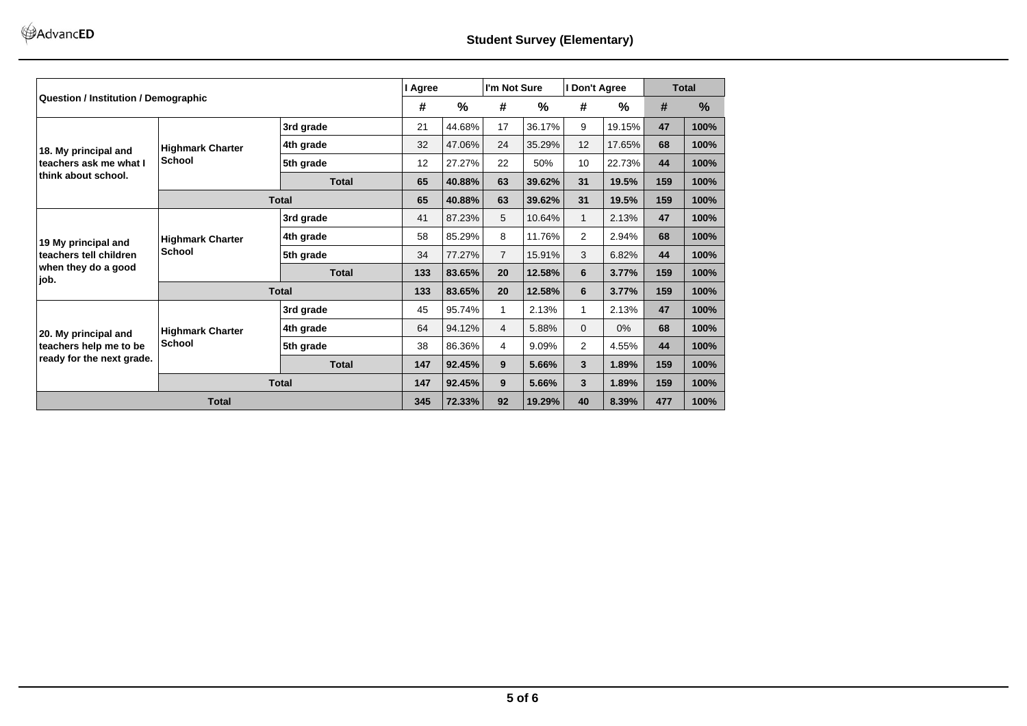|                                                                             |                                          |              | I Agree |                                                                                                                                                                                                                                                                                                                                                                                                                                                                      | I'm Not Sure   |               | I Don't Agree |        | <b>Total</b>                                                                               |      |
|-----------------------------------------------------------------------------|------------------------------------------|--------------|---------|----------------------------------------------------------------------------------------------------------------------------------------------------------------------------------------------------------------------------------------------------------------------------------------------------------------------------------------------------------------------------------------------------------------------------------------------------------------------|----------------|---------------|---------------|--------|--------------------------------------------------------------------------------------------|------|
| Question / Institution / Demographic                                        |                                          |              | #       | %                                                                                                                                                                                                                                                                                                                                                                                                                                                                    | #              | $\frac{0}{0}$ | #             | %      | #<br>47<br>68<br>44<br>159<br>159<br>47<br>68<br>44<br>159<br>159<br>47<br>68<br>44<br>159 | %    |
|                                                                             | <b>Highmark Charter</b>                  | 3rd grade    | 21      | 44.68%                                                                                                                                                                                                                                                                                                                                                                                                                                                               | 17             | 36.17%        | 9             | 19.15% |                                                                                            | 100% |
| 18. My principal and                                                        |                                          | 4th grade    | 32      |                                                                                                                                                                                                                                                                                                                                                                                                                                                                      | 24             |               | 12            | 17.65% |                                                                                            | 100% |
| teachers ask me what I                                                      | <b>School</b>                            | 5th grade    | 12      | 27.27%                                                                                                                                                                                                                                                                                                                                                                                                                                                               | 22             | 50%           | 10            | 22.73% |                                                                                            | 100% |
| think about school.                                                         |                                          | <b>Total</b> | 65      |                                                                                                                                                                                                                                                                                                                                                                                                                                                                      | 63             |               | 31            | 19.5%  |                                                                                            | 100% |
|                                                                             |                                          | <b>Total</b> | 65      |                                                                                                                                                                                                                                                                                                                                                                                                                                                                      | 63             |               | 31            | 19.5%  | 159                                                                                        | 100% |
|                                                                             |                                          | 3rd grade    | 41      |                                                                                                                                                                                                                                                                                                                                                                                                                                                                      | 5              |               | $\mathbf{1}$  | 2.13%  |                                                                                            | 100% |
| 19 My principal and                                                         | <b>Highmark Charter</b><br><b>School</b> | 4th grade    | 58      |                                                                                                                                                                                                                                                                                                                                                                                                                                                                      | 8              |               | 2             | 2.94%  |                                                                                            | 100% |
| teachers tell children                                                      |                                          | 5th grade    | 34      |                                                                                                                                                                                                                                                                                                                                                                                                                                                                      | $\overline{7}$ |               | 3             | 6.82%  |                                                                                            | 100% |
| when they do a good<br>job.                                                 |                                          | <b>Total</b> | 133     | 47.06%<br>35.29%<br>40.88%<br>39.62%<br>40.88%<br>39.62%<br>87.23%<br>10.64%<br>85.29%<br>11.76%<br>77.27%<br>15.91%<br>83.65%<br>12.58%<br>3.77%<br>20<br>6<br>83.65%<br>12.58%<br>6<br>3.77%<br>20<br>95.74%<br>2.13%<br>2.13%<br>1<br>94.12%<br>5.88%<br>$\Omega$<br>0%<br>$\overline{4}$<br>86.36%<br>$\overline{2}$<br>9.09%<br>4.55%<br>4<br>92.45%<br>9<br>5.66%<br>3<br>1.89%<br>3<br>1.89%<br>92.45%<br>9<br>5.66%<br>72.33%<br>92<br>19.29%<br>40<br>8.39% |                | 100%          |               |        |                                                                                            |      |
|                                                                             |                                          | <b>Total</b> | 133     |                                                                                                                                                                                                                                                                                                                                                                                                                                                                      |                |               |               |        | 477                                                                                        | 100% |
|                                                                             |                                          | 3rd grade    | 45      |                                                                                                                                                                                                                                                                                                                                                                                                                                                                      |                |               |               |        |                                                                                            | 100% |
|                                                                             | <b>Highmark Charter</b>                  | 4th grade    | 64      |                                                                                                                                                                                                                                                                                                                                                                                                                                                                      |                |               |               |        |                                                                                            | 100% |
| 20. My principal and<br>teachers help me to be<br>ready for the next grade. | <b>School</b>                            | 5th grade    | 38      |                                                                                                                                                                                                                                                                                                                                                                                                                                                                      |                |               |               |        |                                                                                            | 100% |
|                                                                             |                                          | <b>Total</b> | 147     |                                                                                                                                                                                                                                                                                                                                                                                                                                                                      |                |               |               |        |                                                                                            | 100% |
|                                                                             |                                          | <b>Total</b> | 147     |                                                                                                                                                                                                                                                                                                                                                                                                                                                                      |                |               |               |        |                                                                                            | 100% |
|                                                                             | <b>Total</b>                             |              | 345     |                                                                                                                                                                                                                                                                                                                                                                                                                                                                      |                |               |               |        |                                                                                            | 100% |